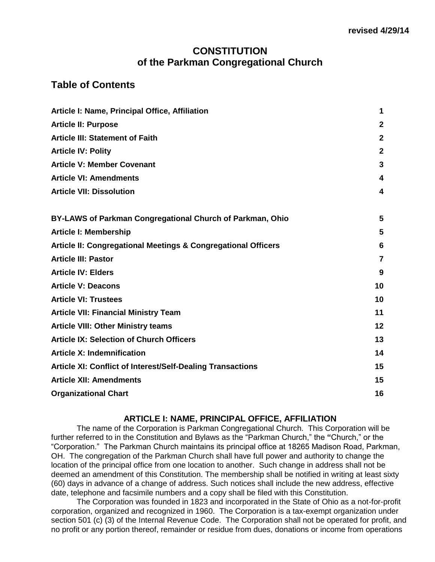# **CONSTITUTION of the Parkman Congregational Church**

# **Table of Contents**

| Article I: Name, Principal Office, Affiliation                    | 1                       |
|-------------------------------------------------------------------|-------------------------|
| <b>Article II: Purpose</b>                                        | $\mathbf{2}$            |
| <b>Article III: Statement of Faith</b>                            | $\mathbf{2}$            |
| <b>Article IV: Polity</b>                                         | $\overline{2}$          |
| <b>Article V: Member Covenant</b>                                 | 3                       |
| <b>Article VI: Amendments</b>                                     | 4                       |
| <b>Article VII: Dissolution</b>                                   | $\overline{\mathbf{4}}$ |
| BY-LAWS of Parkman Congregational Church of Parkman, Ohio         | 5                       |
| <b>Article I: Membership</b>                                      | 5                       |
| Article II: Congregational Meetings & Congregational Officers     | 6                       |
| <b>Article III: Pastor</b>                                        | 7                       |
| <b>Article IV: Elders</b>                                         | 9                       |
| <b>Article V: Deacons</b>                                         | 10                      |
| <b>Article VI: Trustees</b>                                       | 10                      |
| <b>Article VII: Financial Ministry Team</b>                       | 11                      |
| <b>Article VIII: Other Ministry teams</b>                         | 12                      |
| <b>Article IX: Selection of Church Officers</b>                   | 13                      |
| <b>Article X: Indemnification</b>                                 | 14                      |
| <b>Article XI: Conflict of Interest/Self-Dealing Transactions</b> | 15                      |
| <b>Article XII: Amendments</b>                                    | 15                      |
| <b>Organizational Chart</b>                                       | 16                      |

## **ARTICLE I: NAME, PRINCIPAL OFFICE, AFFILIATION**

<span id="page-0-0"></span>The name of the Corporation is Parkman Congregational Church. This Corporation will be further referred to in the Constitution and Bylaws as the "Parkman Church," the **"**Church," or the "Corporation." The Parkman Church maintains its principal office at 18265 Madison Road, Parkman, OH. The congregation of the Parkman Church shall have full power and authority to change the location of the principal office from one location to another. Such change in address shall not be deemed an amendment of this Constitution. The membership shall be notified in writing at least sixty (60) days in advance of a change of address. Such notices shall include the new address, effective date, telephone and facsimile numbers and a copy shall be filed with this Constitution.

The Corporation was founded in 1823 and incorporated in the State of Ohio as a not-for-profit corporation, organized and recognized in 1960. The Corporation is a tax-exempt organization under section 501 (c) (3) of the Internal Revenue Code. The Corporation shall not be operated for profit, and no profit or any portion thereof, remainder or residue from dues, donations or income from operations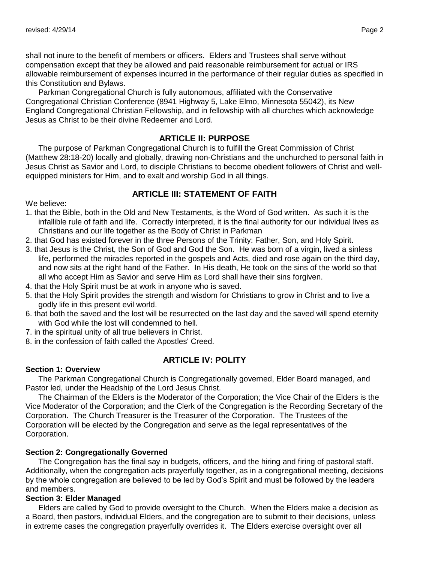shall not inure to the benefit of members or officers. Elders and Trustees shall serve without compensation except that they be allowed and paid reasonable reimbursement for actual or IRS allowable reimbursement of expenses incurred in the performance of their regular duties as specified in this Constitution and Bylaws.

Parkman Congregational Church is fully autonomous, affiliated with the Conservative Congregational Christian Conference (8941 Highway 5, Lake Elmo, Minnesota 55042), its New England Congregational Christian Fellowship, and in fellowship with all churches which acknowledge Jesus as Christ to be their divine Redeemer and Lord.

## **ARTICLE II: PURPOSE**

<span id="page-1-0"></span>The purpose of Parkman Congregational Church is to fulfill the Great Commission of Christ (Matthew 28:18-20) locally and globally, drawing non-Christians and the unchurched to personal faith in Jesus Christ as Savior and Lord, to disciple Christians to become obedient followers of Christ and wellequipped ministers for Him, and to exalt and worship God in all things.

## **ARTICLE III: STATEMENT OF FAITH**

<span id="page-1-1"></span>We believe:

- 1. that the Bible, both in the Old and New Testaments, is the Word of God written. As such it is the infallible rule of faith and life. Correctly interpreted, it is the final authority for our individual lives as Christians and our life together as the Body of Christ in Parkman
- 2. that God has existed forever in the three Persons of the Trinity: Father, Son, and Holy Spirit.
- 3. that Jesus is the Christ, the Son of God and God the Son. He was born of a virgin, lived a sinless life, performed the miracles reported in the gospels and Acts, died and rose again on the third day, and now sits at the right hand of the Father. In His death, He took on the sins of the world so that all who accept Him as Savior and serve Him as Lord shall have their sins forgiven.
- 4. that the Holy Spirit must be at work in anyone who is saved.
- 5. that the Holy Spirit provides the strength and wisdom for Christians to grow in Christ and to live a godly life in this present evil world.
- 6. that both the saved and the lost will be resurrected on the last day and the saved will spend eternity with God while the lost will condemned to hell.
- 7. in the spiritual unity of all true believers in Christ.
- 8. in the confession of faith called the Apostles' Creed.

## **ARTICLE IV: POLITY**

#### <span id="page-1-2"></span>**Section 1: Overview**

The Parkman Congregational Church is Congregationally governed, Elder Board managed, and Pastor led, under the Headship of the Lord Jesus Christ.

The Chairman of the Elders is the Moderator of the Corporation; the Vice Chair of the Elders is the Vice Moderator of the Corporation; and the Clerk of the Congregation is the Recording Secretary of the Corporation.The Church Treasurer is the Treasurer of the Corporation.The Trustees of the Corporation will be elected by the Congregation and serve as the legal representatives of the Corporation.

### **Section 2: Congregationally Governed**

The Congregation has the final say in budgets, officers, and the hiring and firing of pastoral staff. Additionally, when the congregation acts prayerfully together, as in a congregational meeting, decisions by the whole congregation are believed to be led by God's Spirit and must be followed by the leaders and members.

## **Section 3: Elder Managed**

Elders are called by God to provide oversight to the Church. When the Elders make a decision as a Board, then pastors, individual Elders, and the congregation are to submit to their decisions, unless in extreme cases the congregation prayerfully overrides it. The Elders exercise oversight over all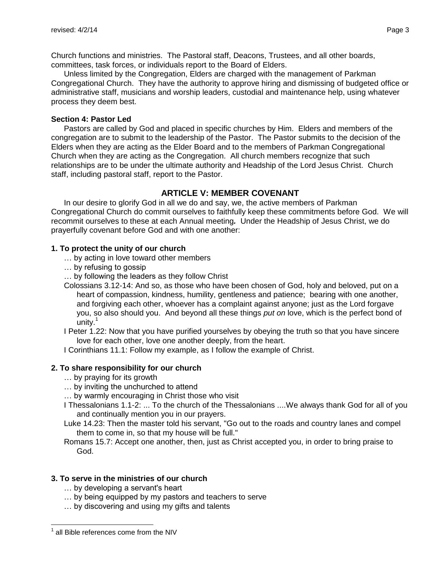Church functions and ministries. The Pastoral staff, Deacons, Trustees, and all other boards, committees, task forces, or individuals report to the Board of Elders.

Unless limited by the Congregation, Elders are charged with the management of Parkman Congregational Church. They have the authority to approve hiring and dismissing of budgeted office or administrative staff, musicians and worship leaders, custodial and maintenance help, using whatever process they deem best.

### **Section 4: Pastor Led**

Pastors are called by God and placed in specific churches by Him. Elders and members of the congregation are to submit to the leadership of the Pastor. The Pastor submits to the decision of the Elders when they are acting as the Elder Board and to the members of Parkman Congregational Church when they are acting as the Congregation. All church members recognize that such relationships are to be under the ultimate authority and Headship of the Lord Jesus Christ. Church staff, including pastoral staff, report to the Pastor.

# **ARTICLE V: MEMBER COVENANT**

<span id="page-2-0"></span>In our desire to glorify God in all we do and say, we, the active members of Parkman Congregational Church do commit ourselves to faithfully keep these commitments before God. We will recommit ourselves to these at each Annual meeting*.* Under the Headship of Jesus Christ, we do prayerfully covenant before God and with one another:

## **1. To protect the unity of our church**

- … by acting in love toward other members
- … by refusing to gossip
- … by following the leaders as they follow Christ
- Colossians 3.12-14: And so, as those who have been chosen of God, holy and beloved, put on a heart of compassion, kindness, humility, gentleness and patience; bearing with one another, and forgiving each other, whoever has a complaint against anyone; just as the Lord forgave you, so also should you. And beyond all these things *put on* love, which is the perfect bond of unity.<sup>1</sup>

I Peter 1.22: Now that you have purified yourselves by obeying the truth so that you have sincere love for each other, love one another deeply, from the heart.

I Corinthians 11.1: Follow my example, as I follow the example of Christ.

## **2. To share responsibility for our church**

- … by praying for its growth
- … by inviting the unchurched to attend
- … by warmly encouraging in Christ those who visit
- I Thessalonians 1.1-2: ... To the church of the Thessalonians ....We always thank God for all of you and continually mention you in our prayers.

Luke 14.23: Then the master told his servant, "Go out to the roads and country lanes and compel them to come in, so that my house will be full."

Romans 15.7: Accept one another, then, just as Christ accepted you, in order to bring praise to God.

## **3. To serve in the ministries of our church**

- … by developing a servant's heart
- … by being equipped by my pastors and teachers to serve
- … by discovering and using my gifts and talents

<sup>&</sup>lt;sup>1</sup> all Bible references come from the NIV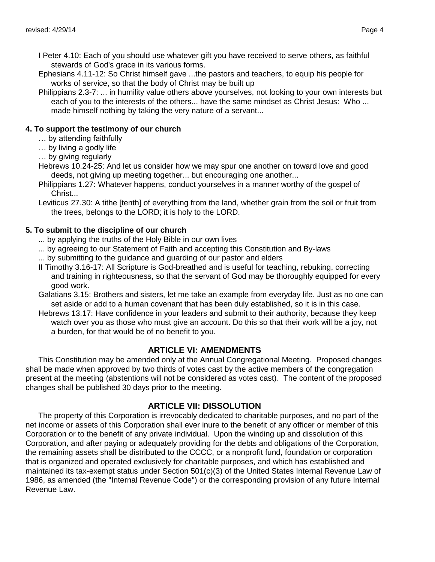- Ephesians 4.11-12: So Christ himself gave ...the pastors and teachers, to equip his people for works of service, so that the body of Christ may be built up
- Philippians 2.3-7: ... in humility value others above yourselves, not looking to your own interests but each of you to the interests of the others... have the same mindset as Christ Jesus: Who ... made himself nothing by taking the very nature of a servant...

## **4. To support the testimony of our church**

- … by attending faithfully
- … by living a godly life
- … by giving regularly
- Hebrews 10.24-25: And let us consider how we may spur one another on toward love and good deeds, not giving up meeting together... but encouraging one another...
- Philippians 1.27: Whatever happens, conduct yourselves in a manner worthy of the gospel of Christ...
- Leviticus 27.30: A tithe [tenth] of everything from the land, whether grain from the soil or fruit from the trees, belongs to the LORD; it is holy to the LORD.

## **5. To submit to the discipline of our church**

- ... by applying the truths of the Holy Bible in our own lives
- ... by agreeing to our Statement of Faith and accepting this Constitution and By-laws
- ... by submitting to the guidance and guarding of our pastor and elders
- II Timothy 3.16-17: All Scripture is God-breathed and is useful for teaching, rebuking, correcting and training in righteousness, so that the servant of God may be thoroughly equipped for every good work.
- Galatians 3.15: Brothers and sisters, let me take an example from everyday life. Just as no one can set aside or add to a human covenant that has been duly established, so it is in this case.
- Hebrews 13.17: Have confidence in your leaders and submit to their authority, because they keep watch over you as those who must give an account. Do this so that their work will be a joy, not a burden, for that would be of no benefit to you.

## **ARTICLE VI: AMENDMENTS**

<span id="page-3-0"></span>This Constitution may be amended only at the Annual Congregational Meeting. Proposed changes shall be made when approved by two thirds of votes cast by the active members of the congregation present at the meeting (abstentions will not be considered as votes cast). The content of the proposed changes shall be published 30 days prior to the meeting.

## **ARTICLE VII: DISSOLUTION**

<span id="page-3-1"></span>The property of this Corporation is irrevocably dedicated to charitable purposes, and no part of the net income or assets of this Corporation shall ever inure to the benefit of any officer or member of this Corporation or to the benefit of any private individual. Upon the winding up and dissolution of this Corporation, and after paying or adequately providing for the debts and obligations of the Corporation, the remaining assets shall be distributed to the CCCC, or a nonprofit fund, foundation or corporation that is organized and operated exclusively for charitable purposes, and which has established and maintained its tax-exempt status under Section 501(c)(3) of the United States Internal Revenue Law of 1986, as amended (the "Internal Revenue Code") or the corresponding provision of any future Internal Revenue Law.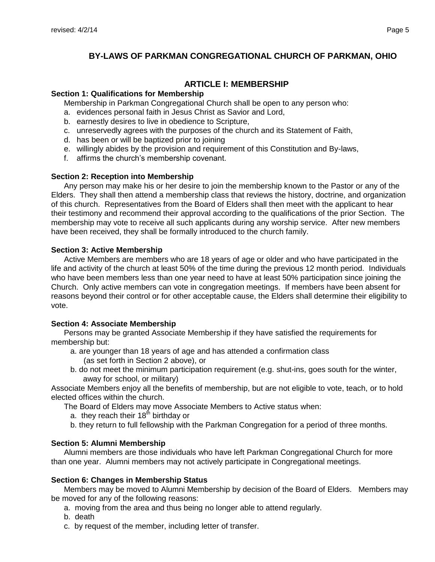# **BY-LAWS OF PARKMAN CONGREGATIONAL CHURCH OF PARKMAN, OHIO**

## **ARTICLE I: MEMBERSHIP**

### <span id="page-4-1"></span><span id="page-4-0"></span>**Section 1: Qualifications for Membership**

Membership in Parkman Congregational Church shall be open to any person who:

- a. evidences personal faith in Jesus Christ as Savior and Lord,
- b. earnestly desires to live in obedience to Scripture,
- c. unreservedly agrees with the purposes of the church and its Statement of Faith,
- d. has been or will be baptized prior to joining
- e. willingly abides by the provision and requirement of this Constitution and By-laws,
- f. affirms the church's membership covenant.

### **Section 2: Reception into Membership**

Any person may make his or her desire to join the membership known to the Pastor or any of the Elders. They shall then attend a membership class that reviews the history, doctrine, and organization of this church. Representatives from the Board of Elders shall then meet with the applicant to hear their testimony and recommend their approval according to the qualifications of the prior Section. The membership may vote to receive all such applicants during any worship service. After new members have been received, they shall be formally introduced to the church family.

## **Section 3: Active Membership**

Active Members are members who are 18 years of age or older and who have participated in the life and activity of the church at least 50% of the time during the previous 12 month period. Individuals who have been members less than one year need to have at least 50% participation since joining the Church. Only active members can vote in congregation meetings. If members have been absent for reasons beyond their control or for other acceptable cause, the Elders shall determine their eligibility to vote.

## **Section 4: Associate Membership**

Persons may be granted Associate Membership if they have satisfied the requirements for membership but:

- a. are younger than 18 years of age and has attended a confirmation class (as set forth in Section 2 above), or
- b. do not meet the minimum participation requirement (e.g. shut-ins, goes south for the winter, away for school, or military)

Associate Members enjoy all the benefits of membership, but are not eligible to vote, teach, or to hold elected offices within the church.

- The Board of Elders may move Associate Members to Active status when:
	- a. they reach their  $18<sup>th</sup>$  birthday or
	- b. they return to full fellowship with the Parkman Congregation for a period of three months.

## **Section 5: Alumni Membership**

Alumni members are those individuals who have left Parkman Congregational Church for more than one year. Alumni members may not actively participate in Congregational meetings.

## **Section 6: Changes in Membership Status**

Members may be moved to Alumni Membership by decision of the Board of Elders. Members may be moved for any of the following reasons:

- a. moving from the area and thus being no longer able to attend regularly.
- b. death
- c. by request of the member, including letter of transfer.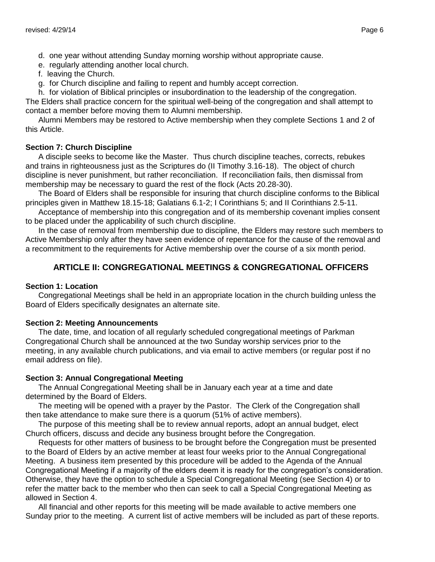- e. regularly attending another local church.
- f. leaving the Church.
- g. for Church discipline and failing to repent and humbly accept correction.

h. for violation of Biblical principles or insubordination to the leadership of the congregation. The Elders shall practice concern for the spiritual well-being of the congregation and shall attempt to contact a member before moving them to Alumni membership.

Alumni Members may be restored to Active membership when they complete Sections 1 and 2 of this Article.

### **Section 7: Church Discipline**

A disciple seeks to become like the Master. Thus church discipline teaches, corrects, rebukes and trains in righteousness just as the Scriptures do (II Timothy 3.16-18). The object of church discipline is never punishment, but rather reconciliation. If reconciliation fails, then dismissal from membership may be necessary to guard the rest of the flock (Acts 20.28-30).

The Board of Elders shall be responsible for insuring that church discipline conforms to the Biblical principles given in Matthew 18.15-18; Galatians 6.1-2; I Corinthians 5; and II Corinthians 2.5-11.

Acceptance of membership into this congregation and of its membership covenant implies consent to be placed under the applicability of such church discipline.

In the case of removal from membership due to discipline, the Elders may restore such members to Active Membership only after they have seen evidence of repentance for the cause of the removal and a recommitment to the requirements for Active membership over the course of a six month period.

# **ARTICLE II: CONGREGATIONAL MEETINGS & CONGREGATIONAL OFFICERS**

### <span id="page-5-0"></span>**Section 1: Location**

Congregational Meetings shall be held in an appropriate location in the church building unless the Board of Elders specifically designates an alternate site.

### **Section 2: Meeting Announcements**

The date, time, and location of all regularly scheduled congregational meetings of Parkman Congregational Church shall be announced at the two Sunday worship services prior to the meeting, in any available church publications, and via email to active members (or regular post if no email address on file).

### **Section 3: Annual Congregational Meeting**

The Annual Congregational Meeting shall be in January each year at a time and date determined by the Board of Elders.

The meeting will be opened with a prayer by the Pastor. The Clerk of the Congregation shall then take attendance to make sure there is a quorum (51% of active members).

The purpose of this meeting shall be to review annual reports, adopt an annual budget, elect Church officers, discuss and decide any business brought before the Congregation.

Requests for other matters of business to be brought before the Congregation must be presented to the Board of Elders by an active member at least four weeks prior to the Annual Congregational Meeting. A business item presented by this procedure will be added to the Agenda of the Annual Congregational Meeting if a majority of the elders deem it is ready for the congregation's consideration. Otherwise, they have the option to schedule a Special Congregational Meeting (see Section 4) or to refer the matter back to the member who then can seek to call a Special Congregational Meeting as allowed in Section 4.

All financial and other reports for this meeting will be made available to active members one Sunday prior to the meeting. A current list of active members will be included as part of these reports.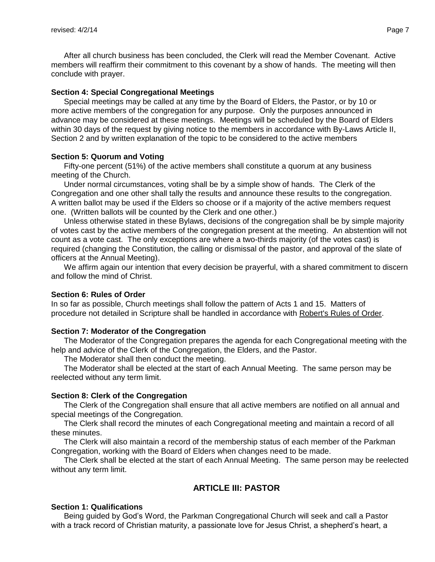After all church business has been concluded, the Clerk will read the Member Covenant. Active members will reaffirm their commitment to this covenant by a show of hands. The meeting will then conclude with prayer.

#### **Section 4: Special Congregational Meetings**

Special meetings may be called at any time by the Board of Elders, the Pastor, or by 10 or more active members of the congregation for any purpose. Only the purposes announced in advance may be considered at these meetings. Meetings will be scheduled by the Board of Elders within 30 days of the request by giving notice to the members in accordance with By-Laws Article II, Section 2 and by written explanation of the topic to be considered to the active members

#### **Section 5: Quorum and Voting**

Fifty-one percent (51%) of the active members shall constitute a quorum at any business meeting of the Church.

Under normal circumstances, voting shall be by a simple show of hands. The Clerk of the Congregation and one other shall tally the results and announce these results to the congregation. A written ballot may be used if the Elders so choose or if a majority of the active members request one. (Written ballots will be counted by the Clerk and one other.)

Unless otherwise stated in these Bylaws, decisions of the congregation shall be by simple majority of votes cast by the active members of the congregation present at the meeting. An abstention will not count as a vote cast. The only exceptions are where a two-thirds majority (of the votes cast) is required (changing the Constitution, the calling or dismissal of the pastor, and approval of the slate of officers at the Annual Meeting).

We affirm again our intention that every decision be prayerful, with a shared commitment to discern and follow the mind of Christ.

#### **Section 6: Rules of Order**

In so far as possible, Church meetings shall follow the pattern of Acts 1 and 15. Matters of procedure not detailed in Scripture shall be handled in accordance with Robert's Rules of Order.

#### **Section 7: Moderator of the Congregation**

The Moderator of the Congregation prepares the agenda for each Congregational meeting with the help and advice of the Clerk of the Congregation, the Elders, and the Pastor.

The Moderator shall then conduct the meeting.

The Moderator shall be elected at the start of each Annual Meeting. The same person may be reelected without any term limit.

#### **Section 8: Clerk of the Congregation**

The Clerk of the Congregation shall ensure that all active members are notified on all annual and special meetings of the Congregation.

The Clerk shall record the minutes of each Congregational meeting and maintain a record of all these minutes.

The Clerk will also maintain a record of the membership status of each member of the Parkman Congregation, working with the Board of Elders when changes need to be made.

The Clerk shall be elected at the start of each Annual Meeting. The same person may be reelected without any term limit.

## **ARTICLE III: PASTOR**

#### <span id="page-6-0"></span>**Section 1: Qualifications**

Being guided by God's Word, the Parkman Congregational Church will seek and call a Pastor with a track record of Christian maturity, a passionate love for Jesus Christ, a shepherd's heart, a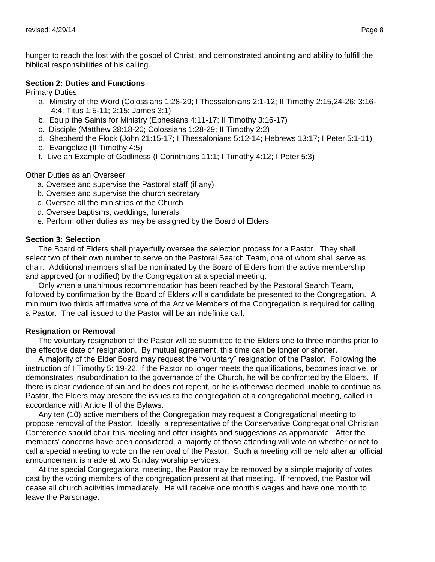hunger to reach the lost with the gospel of Christ, and demonstrated anointing and ability to fulfill the biblical responsibilities of his calling.

#### **Section 2: Duties and Functions**

Primary Duties

- a. Ministry of the Word (Colossians 1:28-29; I Thessalonians 2:1-12; II Timothy 2:15,24-26; 3:16- 4:4; Titus 1:5-11; 2:15; James 3:1)
- b. Equip the Saints for Ministry (Ephesians 4:11-17; II Timothy 3:16-17)
- c. Disciple (Matthew 28:18-20; Colossians 1:28-29; II Timothy 2:2)
- d. Shepherd the Flock (John 21:15-17; I Thessalonians 5:12-14; Hebrews 13:17; I Peter 5:1-11)
- e. Evangelize (II Timothy 4:5)
- f. Live an Example of Godliness (I Corinthians 11:1; I Timothy 4:12; I Peter 5:3)

### Other Duties as an Overseer

- a. Oversee and supervise the Pastoral staff (if any)
- b. Oversee and supervise the church secretary
- c. Oversee all the ministries of the Church
- d. Oversee baptisms, weddings, funerals
- e. Perform other duties as may be assigned by the Board of Elders

## **Section 3: Selection**

The Board of Elders shall prayerfully oversee the selection process for a Pastor. They shall select two of their own number to serve on the Pastoral Search Team, one of whom shall serve as chair. Additional members shall be nominated by the Board of Elders from the active membership and approved (or modified) by the Congregation at a special meeting.

Only when a unanimous recommendation has been reached by the Pastoral Search Team, followed by confirmation by the Board of Elders will a candidate be presented to the Congregation. A minimum two thirds affirmative vote of the Active Members of the Congregation is required for calling a Pastor. The call issued to the Pastor will be an indefinite call.

### **Resignation or Removal**

The voluntary resignation of the Pastor will be submitted to the Elders one to three months prior to the effective date of resignation. By mutual agreement, this time can be longer or shorter.

A majority of the Elder Board may request the "voluntary" resignation of the Pastor. Following the instruction of I Timothy 5: 19-22, if the Pastor no longer meets the qualifications, becomes inactive, or demonstrates insubordination to the governance of the Church, he will be confronted by the Elders. If there is clear evidence of sin and he does not repent, or he is otherwise deemed unable to continue as Pastor, the Elders may present the issues to the congregation at a congregational meeting, called in accordance with Article II of the Bylaws.

Any ten (10) active members of the Congregation may request a Congregational meeting to propose removal of the Pastor. Ideally, a representative of the Conservative Congregational Christian Conference should chair this meeting and offer insights and suggestions as appropriate. After the members' concerns have been considered, a majority of those attending will vote on whether or not to call a special meeting to vote on the removal of the Pastor. Such a meeting will be held after an official announcement is made at two Sunday worship services.

At the special Congregational meeting, the Pastor may be removed by a simple majority of votes cast by the voting members of the congregation present at that meeting. If removed, the Pastor will cease all church activities immediately. He will receive one month's wages and have one month to leave the Parsonage.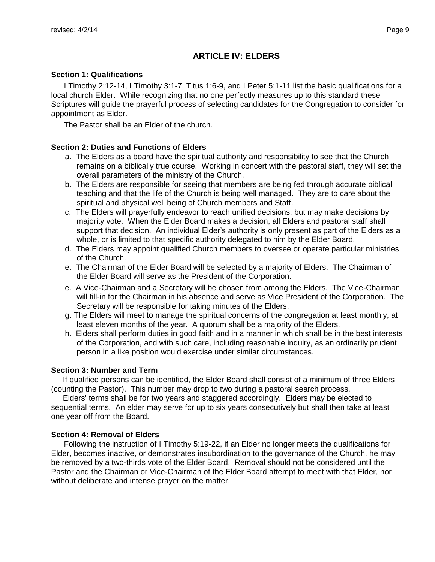# **ARTICLE IV: ELDERS**

### <span id="page-8-0"></span>**Section 1: Qualifications**

I Timothy 2:12-14, I Timothy 3:1-7, Titus 1:6-9, and I Peter 5:1-11 list the basic qualifications for a local church Elder. While recognizing that no one perfectly measures up to this standard these Scriptures will guide the prayerful process of selecting candidates for the Congregation to consider for appointment as Elder.

The Pastor shall be an Elder of the church.

## **Section 2: Duties and Functions of Elders**

- a. The Elders as a board have the spiritual authority and responsibility to see that the Church remains on a biblically true course. Working in concert with the pastoral staff, they will set the overall parameters of the ministry of the Church.
- b. The Elders are responsible for seeing that members are being fed through accurate biblical teaching and that the life of the Church is being well managed. They are to care about the spiritual and physical well being of Church members and Staff.
- c. The Elders will prayerfully endeavor to reach unified decisions, but may make decisions by majority vote. When the Elder Board makes a decision, all Elders and pastoral staff shall support that decision. An individual Elder's authority is only present as part of the Elders as a whole, or is limited to that specific authority delegated to him by the Elder Board.
- d. The Elders may appoint qualified Church members to oversee or operate particular ministries of the Church.
- e. The Chairman of the Elder Board will be selected by a majority of Elders. The Chairman of the Elder Board will serve as the President of the Corporation.
- e. A Vice-Chairman and a Secretary will be chosen from among the Elders. The Vice-Chairman will fill-in for the Chairman in his absence and serve as Vice President of the Corporation. The Secretary will be responsible for taking minutes of the Elders.
- g. The Elders will meet to manage the spiritual concerns of the congregation at least monthly, at least eleven months of the year. A quorum shall be a majority of the Elders.
- h. Elders shall perform duties in good faith and in a manner in which shall be in the best interests of the Corporation, and with such care, including reasonable inquiry, as an ordinarily prudent person in a like position would exercise under similar circumstances.

## **Section 3: Number and Term**

If qualified persons can be identified, the Elder Board shall consist of a minimum of three Elders (counting the Pastor). This number may drop to two during a pastoral search process.

Elders' terms shall be for two years and staggered accordingly. Elders may be elected to sequential terms. An elder may serve for up to six years consecutively but shall then take at least one year off from the Board.

## **Section 4: Removal of Elders**

Following the instruction of I Timothy 5:19-22, if an Elder no longer meets the qualifications for Elder, becomes inactive, or demonstrates insubordination to the governance of the Church, he may be removed by a two-thirds vote of the Elder Board. Removal should not be considered until the Pastor and the Chairman or Vice-Chairman of the Elder Board attempt to meet with that Elder, nor without deliberate and intense prayer on the matter.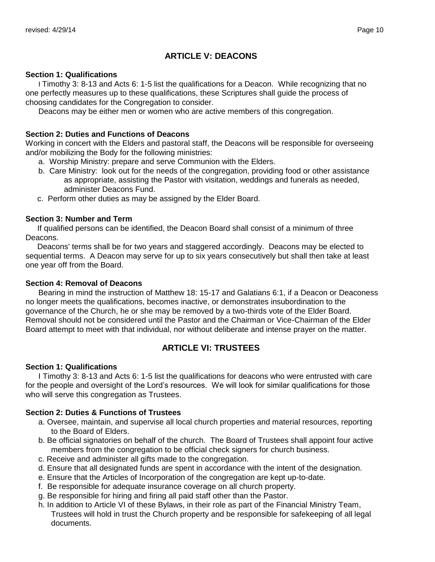# **ARTICLE V: DEACONS**

#### <span id="page-9-0"></span>**Section 1: Qualifications**

I Timothy 3: 8-13 and Acts 6: 1-5 list the qualifications for a Deacon. While recognizing that no one perfectly measures up to these qualifications, these Scriptures shall guide the process of choosing candidates for the Congregation to consider.

Deacons may be either men or women who are active members of this congregation.

#### **Section 2: Duties and Functions of Deacons**

Working in concert with the Elders and pastoral staff, the Deacons will be responsible for overseeing and/or mobilizing the Body for the following ministries:

- a. Worship Ministry: prepare and serve Communion with the Elders.
- b. Care Ministry: look out for the needs of the congregation, providing food or other assistance as appropriate, assisting the Pastor with visitation, weddings and funerals as needed, administer Deacons Fund.
- c. Perform other duties as may be assigned by the Elder Board.

#### **Section 3: Number and Term**

If qualified persons can be identified, the Deacon Board shall consist of a minimum of three Deacons.

Deacons' terms shall be for two years and staggered accordingly. Deacons may be elected to sequential terms. A Deacon may serve for up to six years consecutively but shall then take at least one year off from the Board.

#### **Section 4: Removal of Deacons**

Bearing in mind the instruction of Matthew 18: 15-17 and Galatians 6:1, if a Deacon or Deaconess no longer meets the qualifications, becomes inactive, or demonstrates insubordination to the governance of the Church, he or she may be removed by a two-thirds vote of the Elder Board. Removal should not be considered until the Pastor and the Chairman or Vice-Chairman of the Elder Board attempt to meet with that individual, nor without deliberate and intense prayer on the matter.

## **ARTICLE VI: TRUSTEES**

### <span id="page-9-1"></span>**Section 1: Qualifications**

I Timothy 3: 8-13 and Acts 6: 1-5 list the qualifications for deacons who were entrusted with care for the people and oversight of the Lord's resources. We will look for similar qualifications for those who will serve this congregation as Trustees.

### **Section 2: Duties & Functions of Trustees**

- a. Oversee, maintain, and supervise all local church properties and material resources, reporting to the Board of Elders.
- b. Be official signatories on behalf of the church. The Board of Trustees shall appoint four active members from the congregation to be official check signers for church business.
- c. Receive and administer all gifts made to the congregation.
- d. Ensure that all designated funds are spent in accordance with the intent of the designation.
- e. Ensure that the Articles of Incorporation of the congregation are kept up-to-date.
- f. Be responsible for adequate insurance coverage on all church property.
- g. Be responsible for hiring and firing all paid staff other than the Pastor.
- h. In addition to Article VI of these Bylaws, in their role as part of the Financial Ministry Team, Trustees will hold in trust the Church property and be responsible for safekeeping of all legal documents.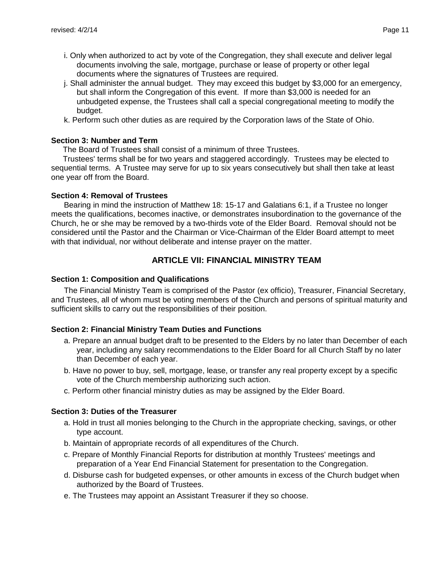- i. Only when authorized to act by vote of the Congregation, they shall execute and deliver legal documents involving the sale, mortgage, purchase or lease of property or other legal documents where the signatures of Trustees are required.
- j. Shall administer the annual budget. They may exceed this budget by \$3,000 for an emergency, but shall inform the Congregation of this event. If more than \$3,000 is needed for an unbudgeted expense, the Trustees shall call a special congregational meeting to modify the budget.
- k. Perform such other duties as are required by the Corporation laws of the State of Ohio.

### **Section 3: Number and Term**

The Board of Trustees shall consist of a minimum of three Trustees.

Trustees' terms shall be for two years and staggered accordingly. Trustees may be elected to sequential terms. A Trustee may serve for up to six years consecutively but shall then take at least one year off from the Board.

### **Section 4: Removal of Trustees**

Bearing in mind the instruction of Matthew 18: 15-17 and Galatians 6:1, if a Trustee no longer meets the qualifications, becomes inactive, or demonstrates insubordination to the governance of the Church, he or she may be removed by a two-thirds vote of the Elder Board. Removal should not be considered until the Pastor and the Chairman or Vice-Chairman of the Elder Board attempt to meet with that individual, nor without deliberate and intense prayer on the matter.

## **ARTICLE VII: FINANCIAL MINISTRY TEAM**

#### <span id="page-10-0"></span>**Section 1: Composition and Qualifications**

The Financial Ministry Team is comprised of the Pastor (ex officio), Treasurer, Financial Secretary, and Trustees, all of whom must be voting members of the Church and persons of spiritual maturity and sufficient skills to carry out the responsibilities of their position.

### **Section 2: Financial Ministry Team Duties and Functions**

- a. Prepare an annual budget draft to be presented to the Elders by no later than December of each year, including any salary recommendations to the Elder Board for all Church Staff by no later than December of each year.
- b. Have no power to buy, sell, mortgage, lease, or transfer any real property except by a specific vote of the Church membership authorizing such action.
- c. Perform other financial ministry duties as may be assigned by the Elder Board.

### **Section 3: Duties of the Treasurer**

- a. Hold in trust all monies belonging to the Church in the appropriate checking, savings, or other type account.
- b. Maintain of appropriate records of all expenditures of the Church.
- c. Prepare of Monthly Financial Reports for distribution at monthly Trustees' meetings and preparation of a Year End Financial Statement for presentation to the Congregation.
- d. Disburse cash for budgeted expenses, or other amounts in excess of the Church budget when authorized by the Board of Trustees.
- e. The Trustees may appoint an Assistant Treasurer if they so choose.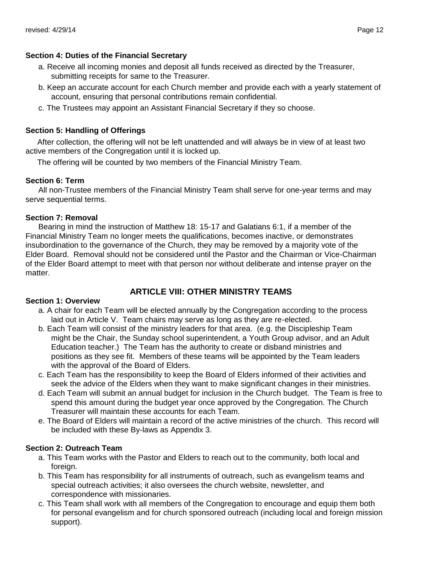### **Section 4: Duties of the Financial Secretary**

- a. Receive all incoming monies and deposit all funds received as directed by the Treasurer, submitting receipts for same to the Treasurer.
- b. Keep an accurate account for each Church member and provide each with a yearly statement of account, ensuring that personal contributions remain confidential.
- c. The Trustees may appoint an Assistant Financial Secretary if they so choose.

## **Section 5: Handling of Offerings**

After collection, the offering will not be left unattended and will always be in view of at least two active members of the Congregation until it is locked up.

The offering will be counted by two members of the Financial Ministry Team.

## **Section 6: Term**

All non-Trustee members of the Financial Ministry Team shall serve for one-year terms and may serve sequential terms.

## **Section 7: Removal**

Bearing in mind the instruction of Matthew 18: 15-17 and Galatians 6:1, if a member of the Financial Ministry Team no longer meets the qualifications, becomes inactive, or demonstrates insubordination to the governance of the Church, they may be removed by a majority vote of the Elder Board. Removal should not be considered until the Pastor and the Chairman or Vice-Chairman of the Elder Board attempt to meet with that person nor without deliberate and intense prayer on the matter.

## **ARTICLE VIII: OTHER MINISTRY TEAMS**

### <span id="page-11-0"></span>**Section 1: Overview**

- a. A chair for each Team will be elected annually by the Congregation according to the process laid out in Article V. Team chairs may serve as long as they are re-elected.
- b. Each Team will consist of the ministry leaders for that area. (e.g. the Discipleship Team might be the Chair, the Sunday school superintendent, a Youth Group advisor, and an Adult Education teacher.) The Team has the authority to create or disband ministries and positions as they see fit. Members of these teams will be appointed by the Team leaders with the approval of the Board of Elders.
- c. Each Team has the responsibility to keep the Board of Elders informed of their activities and seek the advice of the Elders when they want to make significant changes in their ministries.
- d. Each Team will submit an annual budget for inclusion in the Church budget. The Team is free to spend this amount during the budget year once approved by the Congregation. The Church Treasurer will maintain these accounts for each Team.
- e. The Board of Elders will maintain a record of the active ministries of the church. This record will be included with these By-laws as Appendix 3.

### **Section 2: Outreach Team**

- a. This Team works with the Pastor and Elders to reach out to the community, both local and foreign.
- b. This Team has responsibility for all instruments of outreach, such as evangelism teams and special outreach activities; it also oversees the church website, newsletter, and correspondence with missionaries.
- c. This Team shall work with all members of the Congregation to encourage and equip them both for personal evangelism and for church sponsored outreach (including local and foreign mission support).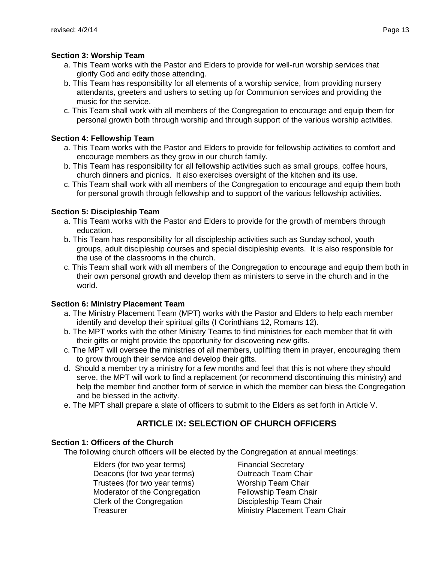## **Section 3: Worship Team**

- a. This Team works with the Pastor and Elders to provide for well-run worship services that glorify God and edify those attending.
- b. This Team has responsibility for all elements of a worship service, from providing nursery attendants, greeters and ushers to setting up for Communion services and providing the music for the service.
- c. This Team shall work with all members of the Congregation to encourage and equip them for personal growth both through worship and through support of the various worship activities.

### **Section 4: Fellowship Team**

- a. This Team works with the Pastor and Elders to provide for fellowship activities to comfort and encourage members as they grow in our church family.
- b. This Team has responsibility for all fellowship activities such as small groups, coffee hours, church dinners and picnics. It also exercises oversight of the kitchen and its use.
- c. This Team shall work with all members of the Congregation to encourage and equip them both for personal growth through fellowship and to support of the various fellowship activities.

## **Section 5: Discipleship Team**

- a. This Team works with the Pastor and Elders to provide for the growth of members through education.
- b. This Team has responsibility for all discipleship activities such as Sunday school, youth groups, adult discipleship courses and special discipleship events. It is also responsible for the use of the classrooms in the church.
- c. This Team shall work with all members of the Congregation to encourage and equip them both in their own personal growth and develop them as ministers to serve in the church and in the world.

## **Section 6: Ministry Placement Team**

- a. The Ministry Placement Team (MPT) works with the Pastor and Elders to help each member identify and develop their spiritual gifts (I Corinthians 12, Romans 12).
- b. The MPT works with the other Ministry Teams to find ministries for each member that fit with their gifts or might provide the opportunity for discovering new gifts.
- c. The MPT will oversee the ministries of all members, uplifting them in prayer, encouraging them to grow through their service and develop their gifts.
- d. Should a member try a ministry for a few months and feel that this is not where they should serve, the MPT will work to find a replacement (or recommend discontinuing this ministry) and help the member find another form of service in which the member can bless the Congregation and be blessed in the activity.
- e. The MPT shall prepare a slate of officers to submit to the Elders as set forth in Article V.

# **ARTICLE IX: SELECTION OF CHURCH OFFICERS**

### <span id="page-12-0"></span>**Section 1: Officers of the Church**

The following church officers will be elected by the Congregation at annual meetings:

Elders (for two year terms) Deacons (for two year terms) Trustees (for two year terms) Moderator of the Congregation Clerk of the Congregation **Treasurer** 

Financial Secretary Outreach Team Chair Worship Team Chair Fellowship Team Chair Discipleship Team Chair Ministry Placement Team Chair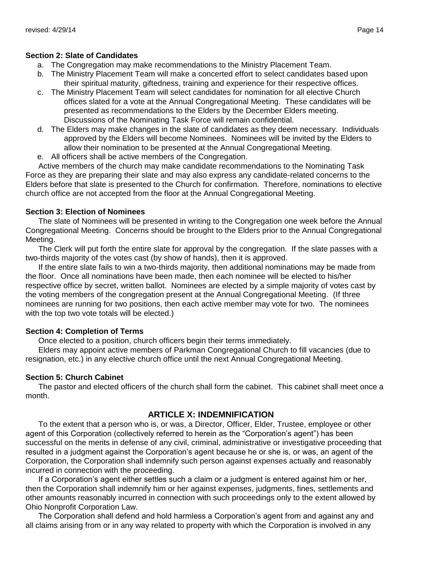## **Section 2: Slate of Candidates**

- a. The Congregation may make recommendations to the Ministry Placement Team.
- b. The Ministry Placement Team will make a concerted effort to select candidates based upon their spiritual maturity, giftedness, training and experience for their respective offices.
- c. The Ministry Placement Team will select candidates for nomination for all elective Church offices slated for a vote at the Annual Congregational Meeting. These candidates will be presented as recommendations to the Elders by the December Elders meeting. Discussions of the Nominating Task Force will remain confidential.
- d. The Elders may make changes in the slate of candidates as they deem necessary. Individuals approved by the Elders will become Nominees. Nominees will be invited by the Elders to allow their nomination to be presented at the Annual Congregational Meeting.
- e. All officers shall be active members of the Congregation.

Active members of the church may make candidate recommendations to the Nominating Task Force as they are preparing their slate and may also express any candidate-related concerns to the Elders before that slate is presented to the Church for confirmation. Therefore, nominations to elective church office are not accepted from the floor at the Annual Congregational Meeting.

### **Section 3: Election of Nominees**

The slate of Nominees will be presented in writing to the Congregation one week before the Annual Congregational Meeting. Concerns should be brought to the Elders prior to the Annual Congregational Meeting.

The Clerk will put forth the entire slate for approval by the congregation. If the slate passes with a two-thirds majority of the votes cast (by show of hands), then it is approved.

If the entire slate fails to win a two-thirds majority, then additional nominations may be made from the floor. Once all nominations have been made, then each nominee will be elected to his/her respective office by secret, written ballot. Nominees are elected by a simple majority of votes cast by the voting members of the congregation present at the Annual Congregational Meeting. (If three nominees are running for two positions, then each active member may vote for two. The nominees with the top two vote totals will be elected.)

### **Section 4: Completion of Terms**

Once elected to a position, church officers begin their terms immediately.

Elders may appoint active members of Parkman Congregational Church to fill vacancies (due to resignation, etc.) in any elective church office until the next Annual Congregational Meeting.

## **Section 5: Church Cabinet**

The pastor and elected officers of the church shall form the cabinet. This cabinet shall meet once a month.

## **ARTICLE X: INDEMNIFICATION**

<span id="page-13-0"></span>To the extent that a person who is, or was, a Director, Officer, Elder, Trustee, employee or other agent of this Corporation (collectively referred to herein as the "Corporation's agent") has been successful on the merits in defense of any civil, criminal, administrative or investigative proceeding that resulted in a judgment against the Corporation's agent because he or she is, or was, an agent of the Corporation, the Corporation shall indemnify such person against expenses actually and reasonably incurred in connection with the proceeding.

If a Corporation's agent either settles such a claim or a judgment is entered against him or her, then the Corporation shall indemnify him or her against expenses, judgments, fines, settlements and other amounts reasonably incurred in connection with such proceedings only to the extent allowed by Ohio Nonprofit Corporation Law.

The Corporation shall defend and hold harmless a Corporation's agent from and against any and all claims arising from or in any way related to property with which the Corporation is involved in any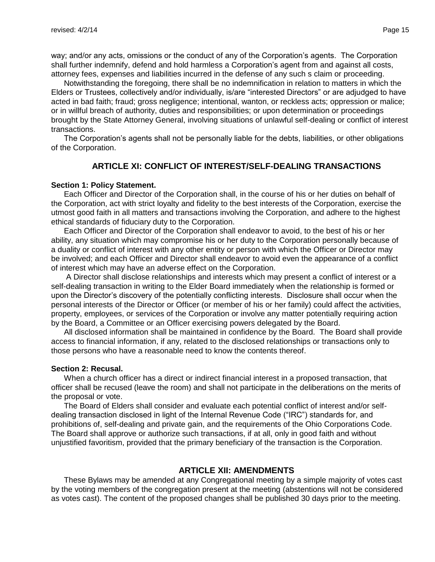way; and/or any acts, omissions or the conduct of any of the Corporation's agents. The Corporation shall further indemnify, defend and hold harmless a Corporation's agent from and against all costs, attorney fees, expenses and liabilities incurred in the defense of any such s claim or proceeding.

Notwithstanding the foregoing, there shall be no indemnification in relation to matters in which the Elders or Trustees, collectively and/or individually, is/are "interested Directors" or are adjudged to have acted in bad faith; fraud; gross negligence; intentional, wanton, or reckless acts; oppression or malice; or in willful breach of authority, duties and responsibilities; or upon determination or proceedings brought by the State Attorney General, involving situations of unlawful self-dealing or conflict of interest transactions.

The Corporation's agents shall not be personally liable for the debts, liabilities, or other obligations of the Corporation.

### **ARTICLE XI: CONFLICT OF INTEREST/SELF-DEALING TRANSACTIONS**

#### <span id="page-14-0"></span>**Section 1: Policy Statement.**

Each Officer and Director of the Corporation shall, in the course of his or her duties on behalf of the Corporation, act with strict loyalty and fidelity to the best interests of the Corporation, exercise the utmost good faith in all matters and transactions involving the Corporation, and adhere to the highest ethical standards of fiduciary duty to the Corporation.

Each Officer and Director of the Corporation shall endeavor to avoid, to the best of his or her ability, any situation which may compromise his or her duty to the Corporation personally because of a duality or conflict of interest with any other entity or person with which the Officer or Director may be involved; and each Officer and Director shall endeavor to avoid even the appearance of a conflict of interest which may have an adverse effect on the Corporation.

A Director shall disclose relationships and interests which may present a conflict of interest or a self-dealing transaction in writing to the Elder Board immediately when the relationship is formed or upon the Director's discovery of the potentially conflicting interests. Disclosure shall occur when the personal interests of the Director or Officer (or member of his or her family) could affect the activities, property, employees, or services of the Corporation or involve any matter potentially requiring action by the Board, a Committee or an Officer exercising powers delegated by the Board.

All disclosed information shall be maintained in confidence by the Board. The Board shall provide access to financial information, if any, related to the disclosed relationships or transactions only to those persons who have a reasonable need to know the contents thereof.

#### **Section 2: Recusal.**

When a church officer has a direct or indirect financial interest in a proposed transaction, that officer shall be recused (leave the room) and shall not participate in the deliberations on the merits of the proposal or vote.

The Board of Elders shall consider and evaluate each potential conflict of interest and/or selfdealing transaction disclosed in light of the Internal Revenue Code ("IRC") standards for, and prohibitions of, self-dealing and private gain, and the requirements of the Ohio Corporations Code. The Board shall approve or authorize such transactions, if at all, only in good faith and without unjustified favoritism, provided that the primary beneficiary of the transaction is the Corporation.

### **ARTICLE XII: AMENDMENTS**

<span id="page-14-1"></span>These Bylaws may be amended at any Congregational meeting by a simple majority of votes cast by the voting members of the congregation present at the meeting (abstentions will not be considered as votes cast). The content of the proposed changes shall be published 30 days prior to the meeting.